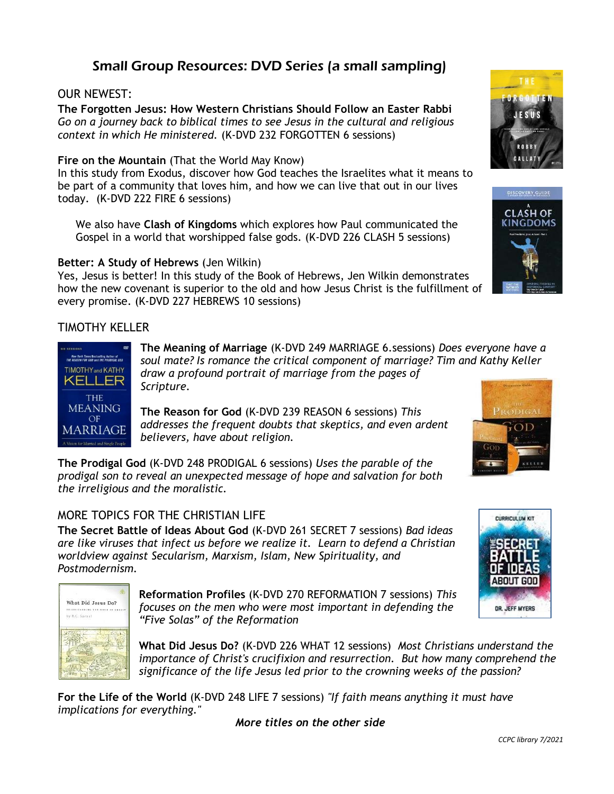# Small Group Resources: DVD Series (a small sampling)

#### OUR NEWEST:

**The Forgotten Jesus: How Western Christians Should Follow an Easter Rabbi** *Go on a journey back to biblical times to see Jesus in the cultural and religious context in which He ministered.* (K-DVD 232 FORGOTTEN 6 sessions)

#### **Fire on the Mountain** (That the World May Know)

In this study from Exodus, discover how God teaches the Israelites what it means to be part of a community that loves him, and how we can live that out in our lives today. (K-DVD 222 FIRE 6 sessions)

 We also have **Clash of Kingdoms** which explores how Paul communicated the Gospel in a world that worshipped false gods. (K-DVD 226 CLASH 5 sessions)

#### **Better: A Study of Hebrews** (Jen Wilkin)

Yes, Jesus is better! In this study of the Book of Hebrews, Jen Wilkin demonstrates how the new covenant is superior to the old and how Jesus Christ is the fulfillment of every promise. (K-DVD 227 HEBREWS 10 sessions)

#### TIMOTHY KELLER



**The Meaning of Marriage** (K-DVD 249 MARRIAGE 6.sessions) *Does everyone have a soul mate? Is romance the critical component of marriage? Tim and Kathy Keller draw a profound portrait of marriage from the pages of Scripture.* 

**The Reason for God** (K-DVD 239 REASON 6 sessions) *This addresses the frequent doubts that skeptics, and even ardent believers, have about religion.* 

**The Prodigal God** (K-DVD 248 PRODIGAL 6 sessions) *Uses the parable of the prodigal son to reveal an unexpected message of hope and salvation for both the irreligious and the moralistic.* 

### MORE TOPICS FOR THE CHRISTIAN LIFE

**The Secret Battle of Ideas About God** (K-DVD 261 SECRET 7 sessions) *Bad ideas are like viruses that infect us before we realize it. Learn to defend a Christian worldview against Secularism, Marxism, Islam, New Spirituality, and Postmodernism.* 



**Reformation Profiles** (K-DVD 270 REFORMATION 7 sessions) *This focuses on the men who were most important in defending the "Five Solas" of the Reformation*

**What Did Jesus Do?** (K-DVD 226 WHAT 12 sessions) *Most Christians understand the importance of Christ's crucifixion and resurrection. But how many comprehend the significance of the life Jesus led prior to the crowning weeks of the passion?*

**For the Life of the World** (K-DVD 248 LIFE 7 sessions) *"If faith means anything it must have implications for everything."* 

*More titles on the other side*